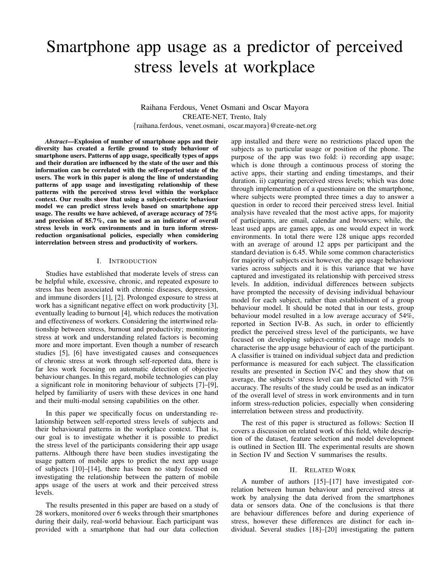# Smartphone app usage as a predictor of perceived stress levels at workplace

Raihana Ferdous, Venet Osmani and Oscar Mayora CREATE-NET, Trento, Italy {raihana.ferdous, venet.osmani, oscar.mayora}@create-net.org

*Abstract*—Explosion of number of smartphone apps and their diversity has created a fertile ground to study behaviour of smartphone users. Patterns of app usage, specifically types of apps and their duration are influenced by the state of the user and this information can be correlated with the self-reported state of the users. The work in this paper is along the line of understanding patterns of app usage and investigating relationship of these patterns with the perceived stress level within the workplace context. Our results show that using a subject-centric behaviour model we can predict stress levels based on smartphone app usage. The results we have achieved, of average accuracy of 75% and precision of 85.7%, can be used as an indicator of overall stress levels in work environments and in turn inform stressreduction organisational policies, especially when considering interrelation between stress and productivity of workers.

## I. INTRODUCTION

Studies have established that moderate levels of stress can be helpful while, excessive, chronic, and repeated exposure to stress has been associated with chronic diseases, depression, and immune disorders [1], [2]. Prolonged exposure to stress at work has a significant negative effect on work productivity [3], eventually leading to burnout [4], which reduces the motivation and effectiveness of workers. Considering the intertwined relationship between stress, burnout and productivity; monitoring stress at work and understanding related factors is becoming more and more important. Even though a number of research studies [5], [6] have investigated causes and consequences of chronic stress at work through self-reported data, there is far less work focusing on automatic detection of objective behaviour changes. In this regard, mobile technologies can play a significant role in monitoring behaviour of subjects [7]–[9], helped by familiarity of users with these devices in one hand and their multi-modal sensing capabilities on the other.

In this paper we specifically focus on understanding relationship between self-reported stress levels of subjects and their behavioural patterns in the workplace context. That is, our goal is to investigate whether it is possible to predict the stress level of the participants considering their app usage patterns. Although there have been studies investigating the usage pattern of mobile apps to predict the next app usage of subjects [10]–[14], there has been no study focused on investigating the relationship between the pattern of mobile apps usage of the users at work and their perceived stress levels.

The results presented in this paper are based on a study of 28 workers, monitored over 6 weeks through their smartphones during their daily, real-world behaviour. Each participant was provided with a smartphone that had our data collection app installed and there were no restrictions placed upon the subjects as to particular usage or position of the phone. The purpose of the app was two fold: i) recording app usage; which is done through a continuous process of storing the active apps, their starting and ending timestamps, and their duration. ii) capturing perceived stress levels; which was done through implementation of a questionnaire on the smartphone, where subjects were prompted three times a day to answer a question in order to record their perceived stress level. Initial analysis have revealed that the most active apps, for majority of participants, are email, calendar and browsers; while, the least used apps are games apps, as one would expect in work environments. In total there were 128 unique apps recorded with an average of around 12 apps per participant and the standard deviation is 6.45. While some common characteristics for majority of subjects exist however, the app usage behaviour varies across subjects and it is this variance that we have captured and investigated its relationship with perceived stress levels. In addition, individual differences between subjects have prompted the necessity of devising individual behaviour model for each subject, rather than establishment of a group behaviour model. It should be noted that in our tests, group behaviour model resulted in a low average accuracy of 54%, reported in Section IV-B. As such, in order to efficiently predict the perceived stress level of the participants, we have focused on developing subject-centric app usage models to characterise the app usage behaviour of each of the participant. A classifier is trained on individual subject data and prediction performance is measured for each subject. The classification results are presented in Section IV-C and they show that on average, the subjects' stress level can be predicted with 75% accuracy. The results of the study could be used as an indicator of the overall level of stress in work environments and in turn inform stress-reduction policies, especially when considering interrelation between stress and productivity.

The rest of this paper is structured as follows: Section II covers a discussion on related work of this field, while description of the dataset, feature selection and model development is outlined in Section III. The experimental results are shown in Section IV and Section V summarises the results.

## II. RELATED WORK

A number of authors [15]–[17] have investigated correlation between human behaviour and perceived stress at work by analysing the data derived from the smartphones data or sensors data. One of the conclusions is that there are behaviour differences before and during experience of stress, however these differences are distinct for each individual. Several studies [18]–[20] investigating the pattern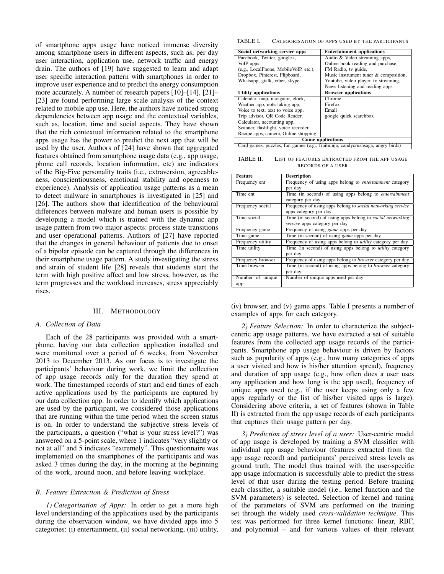of smartphone apps usage have noticed immense diversity among smartphone users in different aspects, such as, per day user interaction, application use, network traffic and energy drain. The authors of [19] have suggested to learn and adapt user specific interaction pattern with smartphones in order to improve user experience and to predict the energy consumption more accurately. A number of research papers [10]–[14], [21]– [23] are found performing large scale analysis of the context related to mobile app use. Here, the authors have noticed strong dependencies between app usage and the contextual variables, such as, location, time and social aspects. They have shown that the rich contextual information related to the smartphone apps usage has the power to predict the next app that will be used by the user. Authors of [24] have shown that aggregated features obtained from smartphone usage data (e.g., app usage, phone call records, location information, etc) are indicators of the Big-Five personality traits (i.e., extraversion, agreeableness, conscientiousness, emotional stability and openness to experience). Analysis of application usage patterns as a mean to detect malware in smartphones is investigated in [25] and [26]. The authors show that identification of the behavioural differences between malware and human users is possible by developing a model which is trained with the dynamic app usage pattern from two major aspects: process state transitions and user operational patterns. Authors of [27] have reported that the changes in general behaviour of patients due to onset of a bipolar episode can be captured through the differences in their smartphone usage pattern. A study investigating the stress and strain of student life [28] reveals that students start the term with high positive affect and low stress, however, as the term progresses and the workload increases, stress appreciably rises.

#### III. METHODOLOGY

### *A. Collection of Data*

Each of the 28 participants was provided with a smartphone, having our data collection application installed and were monitored over a period of 6 weeks, from November 2013 to December 2013. As our focus is to investigate the participants' behaviour during work, we limit the collection of app usage records only for the duration they spend at work. The timestamped records of start and end times of each active applications used by the participants are captured by our data collection app. In order to identify which applications are used by the participant, we considered those applications that are running within the time period when the screen status is on. In order to understand the subjective stress levels of the participants, a question ("what is your stress level?") was answered on a 5-point scale, where 1 indicates "very slightly or not at all" and 5 indicates "extremely". This questionnaire was implemented on the smartphones of the participants and was asked 3 times during the day, in the morning at the beginning of the work, around noon, and before leaving workplace.

## *B. Feature Extraction & Prediction of Stress*

*1) Categorisation of Apps:* In order to get a more high level understanding of the applications used by the participants during the observation window, we have divided apps into 5 categories: (i) entertainment, (ii) social networking, (iii) utility,

TABLE I. CATEGORISATION OF APPS USED BY THE PARTICIPANTS

| Social networking service apps                                                 | <b>Entertainment applications</b>     |  |  |  |
|--------------------------------------------------------------------------------|---------------------------------------|--|--|--|
| Facebook, Twitter, google+,                                                    | Audio & Video streaming apps,         |  |  |  |
| VoIP apps                                                                      | Online book reading and purchase,     |  |  |  |
| (e.g., LocalPhone, MobileVoIP, etc.),                                          | FM Radio, tv guide,                   |  |  |  |
| Dropbox, Pinterest, Flipboard,                                                 | Music instrument tuner & composition, |  |  |  |
| Whatsapp, gtalk, viber, skype                                                  | Youtube, video player, tv streaming,  |  |  |  |
|                                                                                | News listening and reading apps       |  |  |  |
| <b>Utility applications</b>                                                    | <b>Browser</b> applications           |  |  |  |
| Calendar, map, navigator, clock,                                               | Chrome                                |  |  |  |
| Weather app, note taking app,                                                  | Firefox                               |  |  |  |
| Voice to text, text to voice app,                                              | Email                                 |  |  |  |
| Trip advisor, OR Code Reader,                                                  | google quick searchbox                |  |  |  |
| Calculator, accounting app.                                                    |                                       |  |  |  |
| Scanner, flashlight, voice recorder,                                           |                                       |  |  |  |
| Recipe apps, camera, Online shopping                                           |                                       |  |  |  |
| <b>Game applications</b>                                                       |                                       |  |  |  |
| Card games, puzzles, fun games (e.g., fruitninja, candycrushsaga, angry birds) |                                       |  |  |  |

TABLE II. LIST OF FEATURES EXTRACTED FROM THE APP USAGE RECORDS OF A USER

| Feature           | <b>Description</b>                                                |  |  |  |
|-------------------|-------------------------------------------------------------------|--|--|--|
| Frequency ent     | Frequency of using apps belong to <i>entertainment</i> category   |  |  |  |
|                   | per day                                                           |  |  |  |
| Time ent          | Time (in second) of using apps belong to entertainment            |  |  |  |
|                   | category per day                                                  |  |  |  |
| Frequency social  | Frequency of using apps belong to social networking service       |  |  |  |
|                   | apps category per day                                             |  |  |  |
| Time social       | Time (in second) of using apps belong to <i>social networking</i> |  |  |  |
|                   | service apps category per day                                     |  |  |  |
| Frequency game    | Frequency of using <i>game</i> apps per day                       |  |  |  |
| Time game         | Time (in second) of using <i>game</i> apps per day                |  |  |  |
| Frequency utility | Frequency of using apps belong to <i>utility</i> category per day |  |  |  |
| Time utility      | Time (in second) of using apps belong to <i>utility</i> category  |  |  |  |
|                   | per day                                                           |  |  |  |
| Frequency browser | Frequency of using apps belong to <i>browser</i> category per day |  |  |  |
| Time browser      | Time (in second) of using apps belong to <i>browser</i> category  |  |  |  |
|                   | per day                                                           |  |  |  |
| Number of unique  | Number of unique apps used per day                                |  |  |  |
| app               |                                                                   |  |  |  |

(iv) browser, and (v) game apps. Table I presents a number of examples of apps for each category.

*2) Feature Selection:* In order to characterize the subjectcentric app usage patterns, we have extracted a set of suitable features from the collected app usage records of the participants. Smartphone app usage behaviour is driven by factors such as popularity of apps (e.g., how many categories of apps a user visited and how is his/her attention spread), frequency and duration of app usage (e.g., how often does a user uses any application and how long is the app used), frequency of unique apps used (e.g., if the user keeps using only a few apps regularly or the list of his/her visited apps is large). Considering above criteria, a set of features (shown in Table II) is extracted from the app usage records of each participants that captures their usage pattern per day.

*3) Prediction of stress level of a user:* User-centric model of app usage is developed by training a SVM classifier with individual app usage behaviour (features extracted from the app usage record) and participants' perceived stress levels as ground truth. The model thus trained with the user-specific app usage information is successfully able to predict the stress level of that user during the testing period. Before training each classifier, a suitable model (i.e., kernel function and the SVM parameters) is selected. Selection of kernel and tuning of the parameters of SVM are performed on the training set through the widely used *cross-validation technique*. This test was performed for three kernel functions: linear, RBF, and polynomial – and for various values of their relevant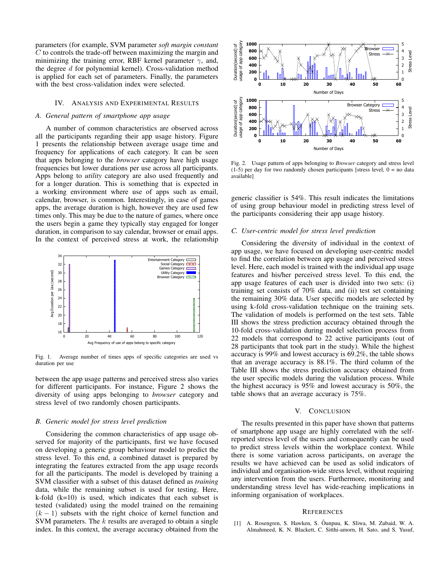parameters (for example, SVM parameter *soft margin constant* C to controls the trade-off between maximizing the margin and minimizing the training error, RBF kernel parameter  $\gamma$ , and, the degree d for polynomial kernel). Cross-validation method is applied for each set of parameters. Finally, the parameters with the best cross-validation index were selected.

## IV. ANALYSIS AND EXPERIMENTAL RESULTS

# *A. General pattern of smartphone app usage*

A number of common characteristics are observed across all the participants regarding their app usage history. Figure 1 presents the relationship between average usage time and frequency for applications of each category. It can be seen that apps belonging to the *browser* category have high usage frequencies but lower durations per use across all participants. Apps belong to *utility* category are also used frequently and for a longer duration. This is something that is expected in a working environment where use of apps such as email, calendar, browser, is common. Interestingly, in case of games apps, the average duration is high, however they are used few times only. This may be due to the nature of games, where once the users begin a game they typically stay engaged for longer duration, in comparison to say calendar, browser or email apps. In the context of perceived stress at work, the relationship



Fig. 1. Average number of times apps of specific categories are used vs duration per use

between the app usage patterns and perceived stress also varies for different participants. For instance, Figure 2 shows the diversity of using apps belonging to *browser* category and stress level of two randomly chosen participants.

#### *B. Generic model for stress level prediction*

Considering the common characteristics of app usage observed for majority of the participants, first we have focused on developing a generic group behaviour model to predict the stress level. To this end, a combined dataset is prepared by integrating the features extracted from the app usage records for all the participants. The model is developed by training a SVM classifier with a subset of this dataset defined as *training* data, while the remaining subset is used for testing. Here,  $k$ -fold  $(k=10)$  is used, which indicates that each subset is tested (validated) using the model trained on the remaining  $(k - 1)$  subsets with the right choice of kernel function and SVM parameters. The  $k$  results are averaged to obtain a single index. In this context, the average accuracy obtained from the



Fig. 2. Usage pattern of apps belonging to *Browser* category and stress level  $(1-5)$  per day for two randomly chosen participants [stress level,  $0 =$  no data available]

generic classifier is 54%. This result indicates the limitations of using group behaviour model in predicting stress level of the participants considering their app usage history.

# *C. User-centric model for stress level prediction*

Considering the diversity of individual in the context of app usage, we have focused on developing user-centric model to find the correlation between app usage and perceived stress level. Here, each model is trained with the individual app usage features and his/her perceived stress level. To this end, the app usage features of each user is divided into two sets: (i) training set consists of 70% data, and (ii) test set containing the remaining 30% data. User specific models are selected by using k-fold cross-validation technique on the training sets. The validation of models is performed on the test sets. Table III shows the stress prediction accuracy obtained through the 10-fold cross-validation during model selection process from 22 models that correspond to 22 active participants (out of 28 participants that took part in the study). While the highest accuracy is 99% and lowest accuracy is 69.2%, the table shows that an average accuracy is 88.1%. The third column of the Table III shows the stress prediction accuracy obtained from the user specific models during the validation process. While the highest accuracy is 95% and lowest accuracy is 50%, the table shows that an average accuracy is 75%.

### V. CONCLUSION

The results presented in this paper have shown that patterns of smartphone app usage are highly correlated with the selfreported stress level of the users and consequently can be used to predict stress levels within the workplace context. While there is some variation across participants, on average the results we have achieved can be used as solid indicators of individual and organisation-wide stress level, without requiring any intervention from the users. Furthermore, monitoring and understanding stress level has wide-reaching implications in informing organisation of workplaces.

#### **REFERENCES**

[1] A. Rosengren, S. Hawken, S. Ôunpuu, K. Sliwa, M. Zubaid, W. A. Almahmeed, K. N. Blackett, C. Sitthi-amorn, H. Sato, and S. Yusuf,